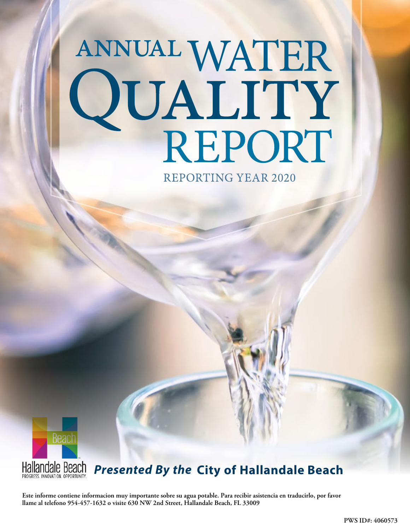# ANNUAL WATER<br>QUALITY<br>REPORT **REPORTING YEAR 2020**



# Hallandale Beach **Presented By the City of Hallandale Beach**

**Este informe contiene informacion muy importante sobre su agua potable. Para recibir asistencia en traducirlo, por favor llame al telefono 954-457-1632 o visite 630 NW 2nd Street, Hallandale Beach, FL 33009**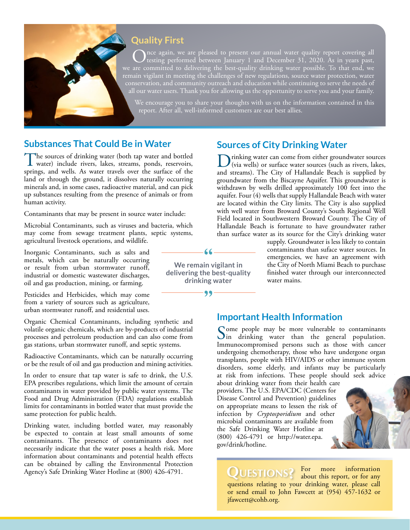

# **Quality First**

Once again, we are pleased to present our annual water quality report covering all<br>testing performed between January 1 and December 31, 2020. As in years past,<br>and performed to delivering the heat guality deigline waves go we are committed to delivering the best-quality drinking water possible. To that end, we remain vigilant in meeting the challenges of new regulations, source water protection, water conservation, and community outreach and education while continuing to serve the needs of all our water users. Thank you for allowing us the opportunity to serve you and your family.

We encourage you to share your thoughts with us on the information contained in this report. After all, well-informed customers are our best allies.

> **We remain vigilant in delivering the best-quality drinking water**

> > 99

 $66.$ 

# **Substances That Could Be in Water**

The sources of drinking water (both tap water and bottled<br>water) include rivers, lakes, streams, ponds, reservoirs, springs, and wells. As water travels over the surface of the land or through the ground, it dissolves naturally occurring minerals and, in some cases, radioactive material, and can pick up substances resulting from the presence of animals or from human activity.

Contaminants that may be present in source water include:

Microbial Contaminants, such as viruses and bacteria, which may come from sewage treatment plants, septic systems, agricultural livestock operations, and wildlife.

Inorganic Contaminants, such as salts and metals, which can be naturally occurring or result from urban stormwater runoff, industrial or domestic wastewater discharges, oil and gas production, mining, or farming.

Pesticides and Herbicides, which may come from a variety of sources such as agriculture, urban stormwater runoff, and residential uses.

Organic Chemical Contaminants, including synthetic and volatile organic chemicals, which are by-products of industrial processes and petroleum production and can also come from gas stations, urban stormwater runoff, and septic systems.

Radioactive Contaminants, which can be naturally occurring or be the result of oil and gas production and mining activities.

In order to ensure that tap water is safe to drink, the U.S. EPA prescribes regulations, which limit the amount of certain contaminants in water provided by public water systems. The Food and Drug Administration (FDA) regulations establish limits for contaminants in bottled water that must provide the same protection for public health.

Drinking water, including bottled water, may reasonably be expected to contain at least small amounts of some contaminants. The presence of contaminants does not necessarily indicate that the water poses a health risk. More information about contaminants and potential health effects can be obtained by calling the Environmental Protection Agency's Safe Drinking Water Hotline at (800) 426-4791.

**Sources of City Drinking Water**

Drinking water can come from either groundwater sources<br>(via wells) or surface water sources (such as rivers, lakes,<br>and ground). The City of Hallandale Basel, is supplied by and streams). The City of Hallandale Beach is supplied by groundwater from the Biscayne Aquifer. This groundwater is withdrawn by wells drilled approximately 100 feet into the aquifer. Four (4) wells that supply Hallandale Beach with water are located within the City limits. The City is also supplied with well water from Broward County's South Regional Well Field located in Southwestern Broward County. The City of Hallandale Beach is fortunate to have groundwater rather than surface water as its source for the City's drinking water

> supply. Groundwater is less likely to contain contaminants than suface water sources. In emergencies, we have an agreement with the City of North Miami Beach to purchase finished water through our interconnected water mains.

# **Important Health Information**

Some people may be more vulnerable to contaminants<br>In drinking water than the general population. Immunocompromised persons such as those with cancer undergoing chemotherapy, those who have undergone organ transplants, people with HIV/AIDS or other immune system disorders, some elderly, and infants may be particularly at risk from infections. These people should seek advice about drinking water from their health care

providers. The U.S. EPA/CDC (Centers for Disease Control and Prevention) guidelines on appropriate means to lessen the risk of infection by *Cryptosporidium* and other microbial contaminants are available from the Safe Drinking Water Hotline at (800) 426-4791 or [http://water.epa.](http://water.epa.gov/drink/hotline) [gov/drink/hotline.](http://water.epa.gov/drink/hotline)

**QUESTIONS?** For more information questions relating to your drinking water, please call or send email to John Fawcett at (954) 457-1632 or [jfawcett@cohb.org](mailto:jfawcett@cohb.org).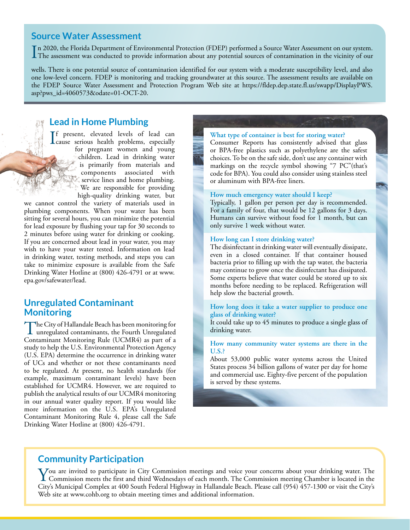# **Source Water Assessment**

In 2020, the Florida Department of Environmental Protection (FDEP) performed a Source Water Assessment on our system.<br>The assessment was conducted to provide information about any potential sources of contamination in the n 2020, the Florida Department of Environmental Protection (FDEP) performed a Source Water Assessment on our system.

wells. There is one potential source of contamination identified for our system with a moderate susceptibility level, and also one low-level concern. FDEP is monitoring and tracking groundwater at this source. The assessment results are available on the FDEP Source Water Assessment and Protection Program Web site at [https://fldep.dep.state.fl.us/swapp/DisplayPWS.](https://fldep.dep.state.fl.us/swapp/DisplayPWS.asp?pws_id=4060573&odate=01-OCT-20) [asp?pws\\_id=4060573&odate=01-OCT-20](https://fldep.dep.state.fl.us/swapp/DisplayPWS.asp?pws_id=4060573&odate=01-OCT-20).

# **Lead in Home Plumbing**

If present, elevated levels of lead can<br>cause serious health problems, especially f present, elevated levels of lead can for pregnant women and young children. Lead in drinking water is primarily from materials and components associated with service lines and home plumbing. We are responsible for providing high-quality drinking water, but

we cannot control the variety of materials used in plumbing components. When your water has been sitting for several hours, you can minimize the potential for lead exposure by flushing your tap for 30 seconds to 2 minutes before using water for drinking or cooking. If you are concerned about lead in your water, you may wish to have your water tested. Information on lead in drinking water, testing methods, and steps you can take to minimize exposure is available from the Safe Drinking Water Hotline at (800) 426-4791 or at [www.](http://www.epa.gov/safewater/lead) [epa.gov/safewater/lead.](http://www.epa.gov/safewater/lead)

# **Unregulated Contaminant Monitoring**

The City of Hallandale Beach has been monitoring for<br>unregulated contaminants, the Fourth Unregulated<br>Contaminant Monitoring Bule (UCMBA) as not of a Contaminant Monitoring Rule (UCMR4) as part of a study to help the U.S. Environmental Protection Agency (U.S. EPA) determine the occurrence in drinking water of UCs and whether or not these contaminants need to be regulated. At present, no health standards (for example, maximum contaminant levels) have been established for UCMR4. However, we are required to publish the analytical results of our UCMR4 monitoring in our annual water quality report. If you would like more information on the U.S. EPA's Unregulated Contaminant Monitoring Rule 4, please call the Safe Drinking Water Hotline at (800) 426-4791.

#### **What type of container is best for storing water?**

Consumer Reports has consistently advised that glass or BPA-free plastics such as polyethylene are the safest choices. To be on the safe side, don't use any container with markings on the recycle symbol showing "7 PC"(that's code for BPA). You could also consider using stainless steel or aluminum with BPA-free liners.

#### **How much emergency water should I keep?**

Typically, 1 gallon per person per day is recommended. For a family of four, that would be 12 gallons for 3 days. Humans can survive without food for 1 month, but can only survive 1 week without water.

#### **How long can I store drinking water?**

The disinfectant in drinking water will eventually dissipate, even in a closed container. If that container housed bacteria prior to filling up with the tap water, the bacteria may continue to grow once the disinfectant has dissipated. Some experts believe that water could be stored up to six months before needing to be replaced. Refrigeration will help slow the bacterial growth.

#### **How long does it take a water supplier to produce one glass of drinking water?**

It could take up to 45 minutes to produce a single glass of drinking water.

#### **How many community water systems are there in the U.S.?**

About 53,000 public water systems across the United States process 34 billion gallons of water per day for home and commercial use. Eighty-five percent of the population is served by these systems.

### **Community Participation**

You are invited to participate in City Commission meetings and voice your concerns about your drinking water. The<br>Commission meets the first and third Wednesdays of each month. The Commission meeting Chamber is located in City's Municipal Complex at 400 South Federal Highway in Hallandale Beach. Please call (954) 457-1300 or visit the City's Web site at [www.cohb.org](http://www.cohb.org) to obtain meeting times and additional information.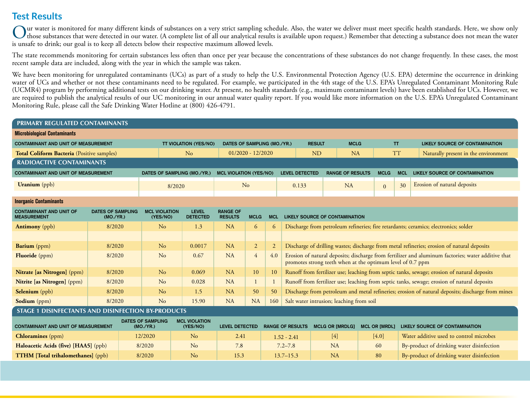# **Test Results**

Our water is monitored for many different kinds of substances on a very strict sampling schedule. Also, the water we deliver must meet specific health standards. Here, we show only<br>those substances that were detected in ou is unsafe to drink; our goal is to keep all detects below their respective maximum allowed levels.

The state recommends monitoring for certain substances less often than once per year because the concentrations of these substances do not change frequently. In these cases, the most recent sample data are included, along with the year in which the sample was taken.

We have been monitoring for unregulated contaminants (UCs) as part of a study to help the U.S. Environmental Protection Agency (U.S. EPA) determine the occurrence in drinking water of UCs and whether or not these contaminants need to be regulated. For example, we participated in the 4th stage of the U.S. EPA's Unregulated Contaminant Monitoring Rule (UCMR4) program by performing additional tests on our drinking water. At present, no health standards (e.g., maximum contaminant levels) have been established for UCs. However, we are required to publish the analytical results of our UC monitoring in our annual water quality report. If you would like more information on the U.S. EPA's Unregulated Contaminant Monitoring Rule, please call the Safe Drinking Water Hotline at (800) 426-4791.

| <b>PRIMARY REGULATED CONTAMINANTS</b>                |                                       |                                       |                                  |                                   |                             |                |                                                                                                                                                                  |                                                  |                        |                      |              |                                         |
|------------------------------------------------------|---------------------------------------|---------------------------------------|----------------------------------|-----------------------------------|-----------------------------|----------------|------------------------------------------------------------------------------------------------------------------------------------------------------------------|--------------------------------------------------|------------------------|----------------------|--------------|-----------------------------------------|
| <b>Microbiological Contaminants</b>                  |                                       |                                       |                                  |                                   |                             |                |                                                                                                                                                                  |                                                  |                        |                      |              |                                         |
| <b>CONTAMINANT AND UNIT OF MEASUREMENT</b>           |                                       |                                       | <b>TT VIOLATION (YES/NO)</b>     |                                   | DATES OF SAMPLING (MO./YR.) |                |                                                                                                                                                                  | <b>RESULT</b>                                    |                        |                      | $\mathbf{T}$ | LIKELY SOURCE OF CONTAMINATION          |
| <b>Total Coliform Bacteria</b> (Positive samples)    |                                       |                                       | No                               |                                   | $01/2020 - 12/2020$         |                |                                                                                                                                                                  | <b>ND</b>                                        |                        |                      | <b>TT</b>    | Naturally present in the environment    |
| <b>RADIOACTIVE CONTAMINANTS</b>                      |                                       |                                       |                                  |                                   |                             |                |                                                                                                                                                                  |                                                  |                        |                      |              |                                         |
| <b>CONTAMINANT AND UNIT OF MEASUREMENT</b>           |                                       |                                       | DATES OF SAMPLING (MO./YR.)      | <b>MCL VIOLATION (YES/NO)</b>     |                             |                |                                                                                                                                                                  | <b>LEVEL DETECTED</b><br><b>RANGE OF RESULTS</b> |                        | <b>MCLG</b>          | <b>MCL</b>   | <b>LIKELY SOURCE OF CONTAMINATION</b>   |
| <b>Uranium</b> (ppb)                                 |                                       |                                       | 8/2020                           |                                   | N <sub>o</sub>              |                | 0.133                                                                                                                                                            |                                                  | <b>NA</b>              | $\theta$             | 30           | Erosion of natural deposits             |
|                                                      |                                       |                                       |                                  |                                   |                             |                |                                                                                                                                                                  |                                                  |                        |                      |              |                                         |
| <b>Inorganic Contaminants</b>                        |                                       |                                       |                                  |                                   |                             |                |                                                                                                                                                                  |                                                  |                        |                      |              |                                         |
| <b>CONTAMINANT AND UNIT OF</b><br><b>MEASUREMENT</b> | <b>DATES OF SAMPLING</b><br>(MO./YR.) | <b>MCL VIOLATION</b><br>(YES/NO)      | <b>LEVEL</b><br><b>DETECTED</b>  | <b>RANGE OF</b><br><b>RESULTS</b> | <b>MCLG</b>                 | <b>MCL</b>     | <b>LIKELY SOURCE OF CONTAMINATION</b>                                                                                                                            |                                                  |                        |                      |              |                                         |
| <b>Antimony</b> (ppb)                                | 8/2020                                | No                                    | 1.3                              | NA                                | 6                           | 6              | Discharge from petroleum refineries; fire retardants; ceramics; electronics; solder                                                                              |                                                  |                        |                      |              |                                         |
|                                                      |                                       |                                       |                                  |                                   |                             |                |                                                                                                                                                                  |                                                  |                        |                      |              |                                         |
| <b>Barium</b> (ppm)                                  | 8/2020                                | No                                    | 0.0017                           | NA                                | $\overline{2}$              | $\overline{2}$ | Discharge of drilling wastes; discharge from metal refineries; erosion of natural deposits                                                                       |                                                  |                        |                      |              |                                         |
| <b>Fluoride</b> (ppm)                                | 8/2020                                | No                                    | 0.67                             | <b>NA</b>                         | $\overline{4}$              | 4.0            | Erosion of natural deposits; discharge from fertilizer and aluminum factories; water additive that<br>promotes strong teeth when at the optimum level of 0.7 ppm |                                                  |                        |                      |              |                                         |
| Nitrate [as Nitrogen] (ppm)                          | 8/2020                                | No                                    | 0.069                            | NA                                | 10                          | <sup>10</sup>  | Runoff from fertilizer use; leaching from septic tanks, sewage; erosion of natural deposits                                                                      |                                                  |                        |                      |              |                                         |
| Nitrite [as Nitrogen] (ppm)                          | 8/2020                                | No                                    | 0.028                            | NA                                |                             | 1              | Runoff from fertilizer use; leaching from septic tanks, sewage; erosion of natural deposits                                                                      |                                                  |                        |                      |              |                                         |
| Selenium (ppb)                                       | 8/2020                                | N <sub>o</sub>                        | 1.5                              | <b>NA</b>                         | 50                          | 50             | Discharge from petroleum and metal refineries; erosion of natural deposits; discharge from mines                                                                 |                                                  |                        |                      |              |                                         |
| Sodium (ppm)                                         | 8/2020                                | No                                    | 15.90                            | <b>NA</b>                         | <b>NA</b>                   | 160            | Salt water intrusion; leaching from soil                                                                                                                         |                                                  |                        |                      |              |                                         |
| STAGE 1 DISINFECTANTS AND DISINFECTION BY-PRODUCTS   |                                       |                                       |                                  |                                   |                             |                |                                                                                                                                                                  |                                                  |                        |                      |              |                                         |
| <b>CONTAMINANT AND UNIT OF MEASUREMENT</b>           |                                       | <b>DATES OF SAMPLING</b><br>(MO./YR.) | <b>MCL VIOLATION</b><br>(YES/NO) | <b>LEVEL DETECTED</b>             |                             |                | <b>RANGE OF RESULTS</b>                                                                                                                                          |                                                  | <b>MCLG OR [MRDLG]</b> | <b>MCL OR [MRDL]</b> |              | <b>LIKELY SOURCE OF CONTAMINATION</b>   |
| <b>Chloramines</b> (ppm)                             |                                       | 12/2020                               | No                               | 2.41                              |                             |                | $[4]$<br>$1.52 - 2.41$                                                                                                                                           |                                                  |                        | $[4.0]$              |              | Water additive used to control microbes |

**Haloacetic Acids (five) [HAA5]** (ppb) 8/2020 No 7.8 7.2–7.8 NA 60 By-product of drinking water disinfection **TTHM [Total trihalomethanes]** (ppb) 8/2020 No 15.3 13.7–15.3 NA 80 By-product of drinking water disinfection